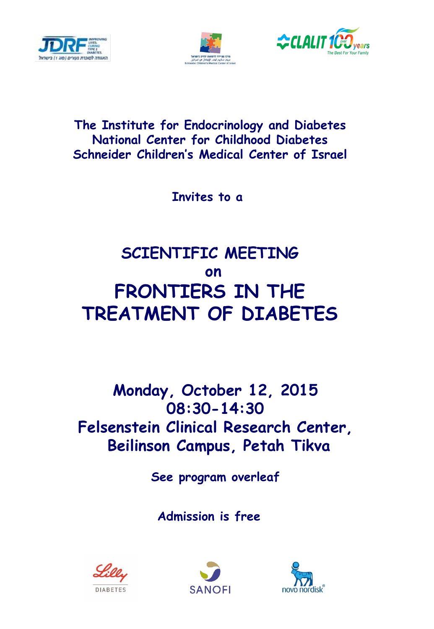





#### **The Institute for Endocrinology and Diabetes National Center for Childhood Diabetes Schneider Children's Medical Center of Israel**

**Invites to a** 

# **SCIENTIFIC MEETING on FRONTIERS IN THE TREATMENT OF DIABETES**

## **Monday, October 12, 2015 08:30-14:30 Felsenstein Clinical Research Center, Beilinson Campus, Petah Tikva**

**See program overleaf**

**Admission is free**